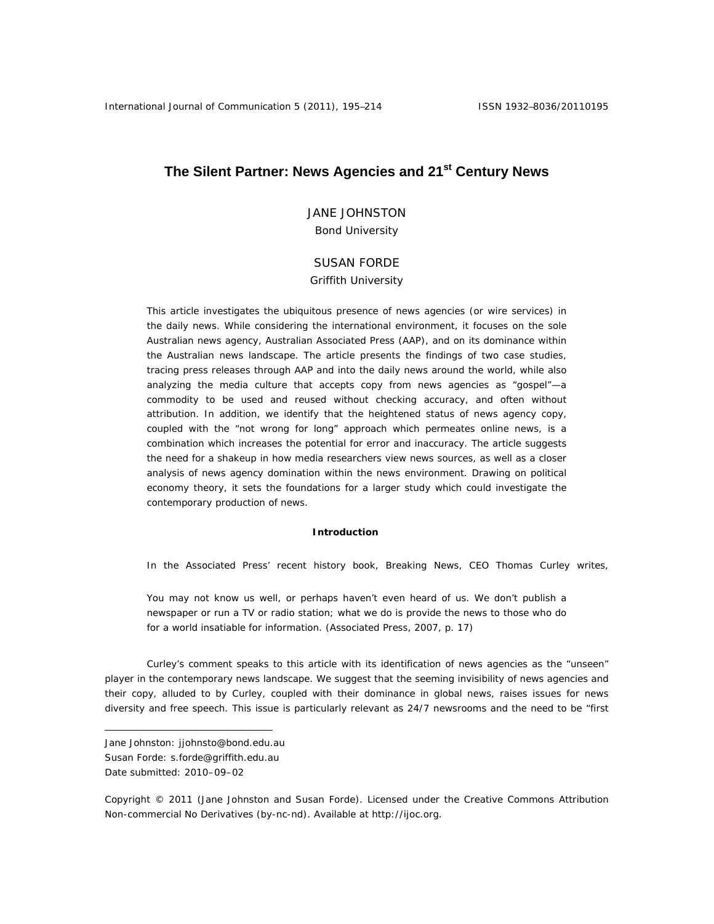# **The Silent Partner: News Agencies and 21st Century News**

JANE JOHNSTON Bond University

# SUSAN FORDE

#### Griffith University

This article investigates the ubiquitous presence of news agencies (or wire services) in the daily news. While considering the international environment, it focuses on the sole Australian news agency, Australian Associated Press (AAP), and on its dominance within the Australian news landscape. The article presents the findings of two case studies, tracing press releases through AAP and into the daily news around the world, while also analyzing the media culture that accepts copy from news agencies as "gospel"—a commodity to be used and reused without checking accuracy, and often without attribution. In addition, we identify that the heightened status of news agency copy, coupled with the "not wrong for long" approach which permeates online news, is a combination which increases the potential for error and inaccuracy. The article suggests the need for a shakeup in how media researchers view news sources, as well as a closer analysis of news agency domination within the news environment. Drawing on political economy theory, it sets the foundations for a larger study which could investigate the contemporary production of news.

#### **Introduction**

In the Associated Press' recent history book, *Breaking News*, CEO Thomas Curley writes,

You may not know us well, or perhaps haven't even heard of us. We don't publish a newspaper or run a TV or radio station; what we do is provide the news to those who do for a world insatiable for information. (Associated Press, 2007, p. 17)

Curley's comment speaks to this article with its identification of news agencies as the "unseen" player in the contemporary news landscape. We suggest that the seeming invisibility of news agencies and their copy, alluded to by Curley, coupled with their dominance in global news, raises issues for news diversity and free speech. This issue is particularly relevant as 24/7 newsrooms and the need to be "first

Date submitted: 2010–09–02

 $\overline{a}$ 

Copyright © 2011 (Jane Johnston and Susan Forde). Licensed under the Creative Commons Attribution Non-commercial No Derivatives (by-nc-nd). Available at http://ijoc.org.

Jane Johnston: jjohnsto@bond.edu.au

Susan Forde: s.forde@griffith.edu.au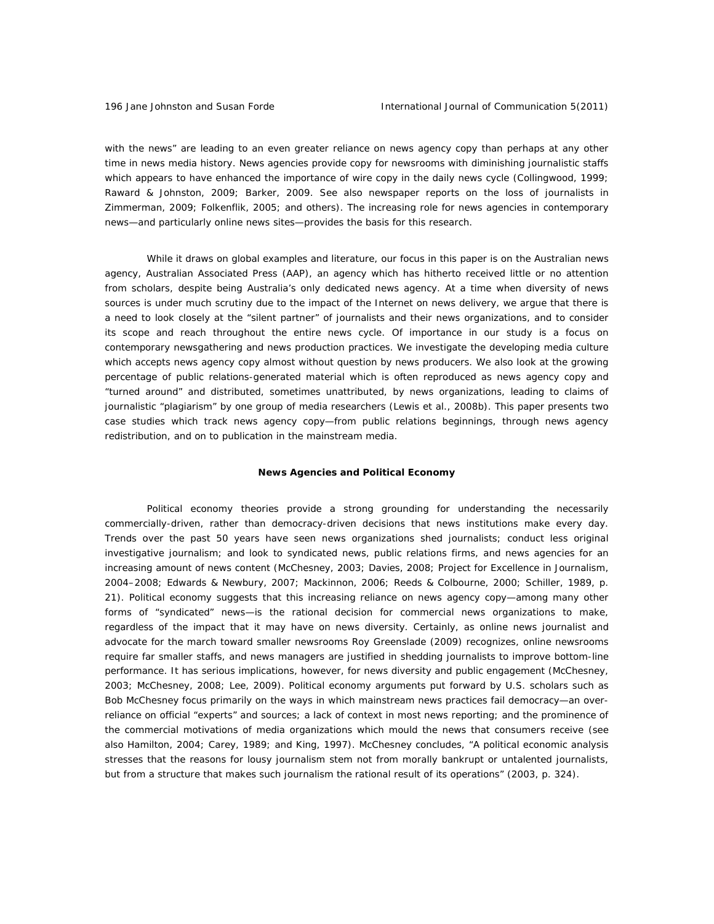with the news" are leading to an even greater reliance on news agency copy than perhaps at any other time in news media history. News agencies provide copy for newsrooms with diminishing journalistic staffs which appears to have enhanced the importance of wire copy in the daily news cycle (Collingwood, 1999; Raward & Johnston, 2009; Barker, 2009. See also newspaper reports on the loss of journalists in Zimmerman, 2009; Folkenflik, 2005; and others). The increasing role for news agencies in contemporary news—and particularly online news sites—provides the basis for this research.

While it draws on global examples and literature, our focus in this paper is on the Australian news agency, Australian Associated Press (AAP), an agency which has hitherto received little or no attention from scholars, despite being Australia's only dedicated news agency. At a time when diversity of news sources is under much scrutiny due to the impact of the Internet on news delivery, we argue that there is a need to look closely at the "silent partner" of journalists and their news organizations, and to consider its scope and reach throughout the entire news cycle. Of importance in our study is a focus on contemporary newsgathering and news production practices. We investigate the developing media culture which accepts news agency copy almost without question by news producers. We also look at the growing percentage of public relations-generated material which is often reproduced as news agency copy and "turned around" and distributed, sometimes unattributed, by news organizations, leading to claims of journalistic "plagiarism" by one group of media researchers (Lewis et al., 2008b). This paper presents two case studies which track news agency copy—from public relations beginnings, through news agency redistribution, and on to publication in the mainstream media.

#### **News Agencies and Political Economy**

Political economy theories provide a strong grounding for understanding the necessarily commercially-driven, rather than democracy-driven decisions that news institutions make every day. Trends over the past 50 years have seen news organizations shed journalists; conduct less original investigative journalism; and look to syndicated news, public relations firms, and news agencies for an increasing amount of news content (McChesney, 2003; Davies, 2008; Project for Excellence in Journalism, 2004–2008; Edwards & Newbury, 2007; Mackinnon, 2006; Reeds & Colbourne, 2000; Schiller, 1989, p. 21). Political economy suggests that this increasing reliance on news agency copy—among many other forms of "syndicated" news—is the rational decision for commercial news organizations to make, regardless of the impact that it may have on news diversity. Certainly, as online news journalist and advocate for the march toward smaller newsrooms Roy Greenslade (2009) recognizes, online newsrooms require far smaller staffs, and news managers are justified in shedding journalists to improve bottom-line performance. It has serious implications, however, for news diversity and public engagement (McChesney, 2003; McChesney, 2008; Lee, 2009). Political economy arguments put forward by U.S. scholars such as Bob McChesney focus primarily on the ways in which mainstream news practices fail democracy—an overreliance on official "experts" and sources; a lack of context in most news reporting; and the prominence of the commercial motivations of media organizations which mould the news that consumers receive (see also Hamilton, 2004; Carey, 1989; and King, 1997). McChesney concludes, "A political economic analysis stresses that the reasons for lousy journalism stem not from morally bankrupt or untalented journalists, but from a structure that makes such journalism the rational result of its operations" (2003, p. 324).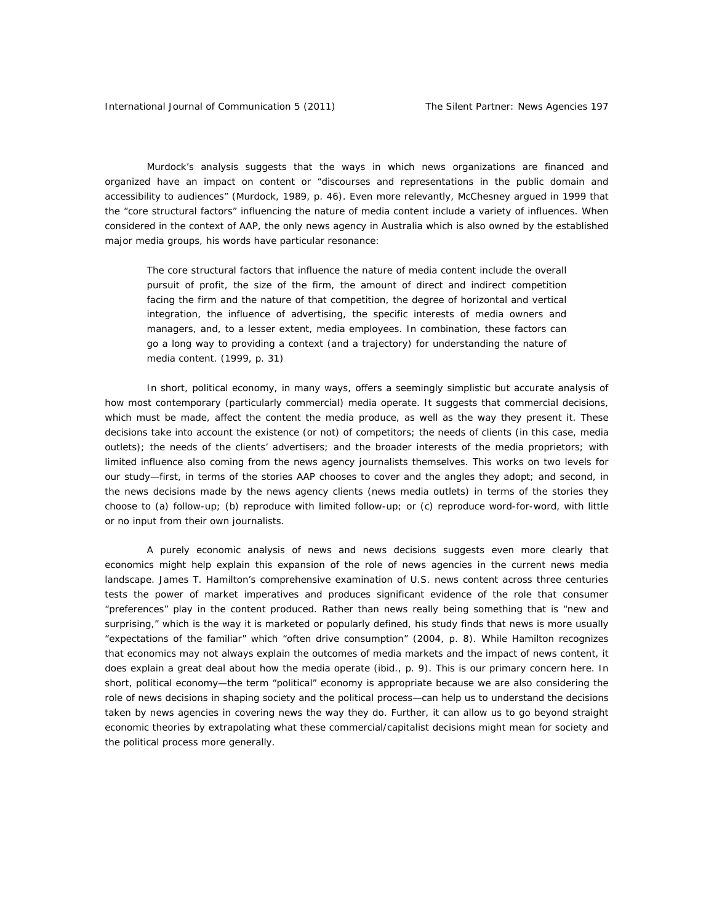Murdock's analysis suggests that the ways in which news organizations are financed and organized have an impact on content or "discourses and representations in the public domain and accessibility to audiences" (Murdock, 1989, p. 46). Even more relevantly, McChesney argued in 1999 that the "core structural factors" influencing the nature of media content include a variety of influences. When considered in the context of AAP, the only news agency in Australia which is also owned by the established major media groups, his words have particular resonance:

The core structural factors that influence the nature of media content include the overall pursuit of profit, the size of the firm, the amount of direct and indirect competition facing the firm and the nature of that competition, the degree of horizontal and vertical integration, the influence of advertising, the specific interests of media owners and managers, and, to a lesser extent, media employees. In combination, these factors can go a long way to providing a context (and a trajectory) for understanding the nature of media content. (1999, p. 31)

In short, political economy, in many ways, offers a seemingly simplistic but accurate analysis of how most contemporary (particularly commercial) media operate. It suggests that commercial decisions, which must be made, affect the content the media produce, as well as the way they present it. These decisions take into account the existence (or not) of competitors; the needs of clients (in this case, media outlets); the needs of the clients' advertisers; and the broader interests of the media proprietors; with limited influence also coming from the news agency journalists themselves. This works on two levels for our study—first, in terms of the stories AAP chooses to cover and the angles they adopt; and second, in the news decisions made by the news agency clients (news media outlets) in terms of the stories they choose to (a) follow-up; (b) reproduce with limited follow-up; or (c) reproduce word-for-word, with little or no input from their own journalists.

A purely economic analysis of news and news decisions suggests even more clearly that economics might help explain this expansion of the role of news agencies in the current news media landscape. James T. Hamilton's comprehensive examination of U.S. news content across three centuries tests the power of market imperatives and produces significant evidence of the role that consumer "preferences" play in the content produced. Rather than news really being something that is "new and surprising," which is the way it is marketed or popularly defined, his study finds that news is more usually "expectations of the familiar" which "often drive consumption" (2004, p. 8). While Hamilton recognizes that economics may not always explain the *outcomes* of media markets and the *impact* of news content, it does explain a great deal about how the media operate (ibid., p. 9). This is our primary concern here. In short, political economy—the term "political" economy is appropriate because we are also considering the role of news decisions in shaping society and the political process—can help us to understand the decisions taken by news agencies in covering news the way they do. Further, it can allow us to go beyond straight economic theories by extrapolating what these commercial/capitalist decisions might mean for society and the political process more generally.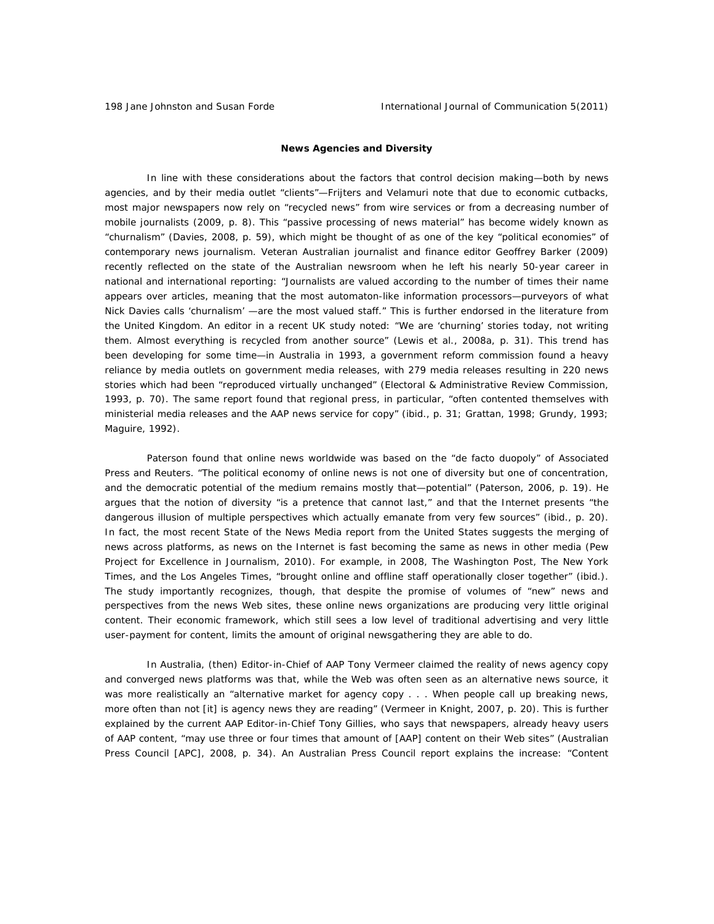#### **News Agencies and Diversity**

In line with these considerations about the factors that control decision making—both by news agencies, and by their media outlet "clients"—Frijters and Velamuri note that due to economic cutbacks, most major newspapers now rely on "recycled news" from wire services or from a decreasing number of mobile journalists (2009, p. 8). This "passive processing of news material" has become widely known as "churnalism" (Davies, 2008, p. 59), which might be thought of as one of the key "political economies" of contemporary news journalism. Veteran Australian journalist and finance editor Geoffrey Barker (2009) recently reflected on the state of the Australian newsroom when he left his nearly 50-year career in national and international reporting: "Journalists are valued according to the number of times their name appears over articles, meaning that the most automaton-like information processors—purveyors of what Nick Davies calls 'churnalism' —are the most valued staff." This is further endorsed in the literature from the United Kingdom. An editor in a recent UK study noted: "We are 'churning' stories today, not writing them. Almost everything is recycled from another source" (Lewis et al., 2008a, p. 31). This trend has been developing for some time—in Australia in 1993, a government reform commission found a heavy reliance by media outlets on government media releases, with 279 media releases resulting in 220 news stories which had been "reproduced virtually unchanged" (Electoral & Administrative Review Commission, 1993, p. 70). The same report found that regional press, in particular, "often contented themselves with ministerial media releases and the AAP news service for copy" (ibid., p. 31; Grattan, 1998; Grundy, 1993; Maguire, 1992).

Paterson found that online news worldwide was based on the "de facto duopoly" of Associated Press and Reuters. "The political economy of online news is not one of diversity but one of concentration, and the democratic potential of the medium remains mostly that—potential" (Paterson, 2006, p. 19). He argues that the notion of diversity "is a pretence that cannot last," and that the Internet presents "the dangerous illusion of multiple perspectives which actually emanate from very few sources" (ibid., p. 20). In fact, the most recent *State of the News Media* report from the United States suggests the merging of news across platforms, as news on the Internet is fast becoming the same as news in other media (Pew Project for Excellence in Journalism, 2010). For example, in 2008, *The Washington Post*, *The New York Times,* and the *Los Angeles Times*, "brought online and offline staff operationally closer together" (ibid.). The study importantly recognizes, though, that despite the promise of volumes of "new" news and perspectives from the news Web sites, these online news organizations are producing very little original content. Their economic framework, which still sees a low level of traditional advertising and very little user-payment for content, limits the amount of original newsgathering they are able to do.

In Australia, (then) Editor-in-Chief of AAP Tony Vermeer claimed the reality of news agency copy and converged news platforms was that, while the Web was often seen as an alternative news source, it was more realistically an "alternative market for agency copy . . . When people call up breaking news, more often than not [it] is agency news they are reading" (Vermeer in Knight, 2007, p. 20). This is further explained by the current AAP Editor-in-Chief Tony Gillies, who says that newspapers, already heavy users of AAP content, "may use three or four times that amount of [AAP] content on their Web sites" (Australian Press Council [APC], 2008, p. 34). An Australian Press Council report explains the increase: "Content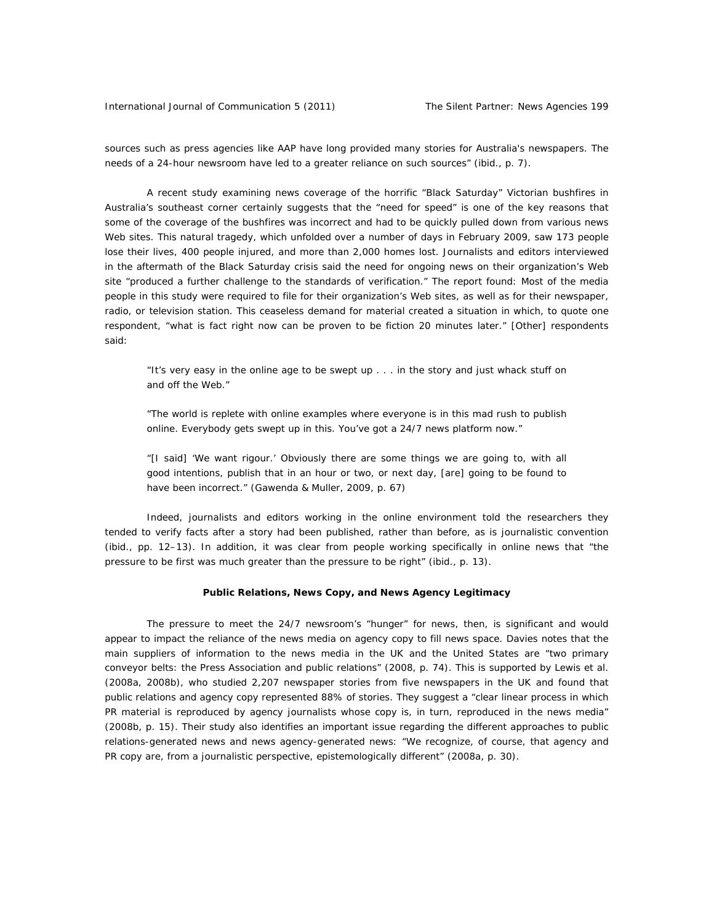International Journal of Communication 5 (2011) The Silent Partner: News Agencies 199

sources such as press agencies like AAP have long provided many stories for Australia's newspapers. The needs of a 24-hour newsroom have led to a greater reliance on such sources" (ibid., p. 7).

A recent study examining news coverage of the horrific "Black Saturday" Victorian bushfires in Australia's southeast corner certainly suggests that the "need for speed" is one of the key reasons that some of the coverage of the bushfires was incorrect and had to be quickly pulled down from various news Web sites. This natural tragedy, which unfolded over a number of days in February 2009, saw 173 people lose their lives, 400 people injured, and more than 2,000 homes lost. Journalists and editors interviewed in the aftermath of the Black Saturday crisis said the need for ongoing news on their organization's Web site "produced a further challenge to the standards of verification." The report found: Most of the media people in this study were required to file for their organization's Web sites, as well as for their newspaper, radio, or television station. This ceaseless demand for material created a situation in which, to quote one respondent, "what is fact right now can be proven to be fiction 20 minutes later." [Other] respondents said:

"It's very easy in the online age to be swept up . . . in the story and just whack stuff on and off the Web."

"The world is replete with online examples where everyone is in this mad rush to publish online. Everybody gets swept up in this. You've got a 24/7 news platform now."

"[I said] 'We want rigour.' Obviously there are some things we are going to, with all good intentions, publish that in an hour or two, or next day, [are] going to be found to have been incorrect." (Gawenda & Muller, 2009, p. 67)

Indeed, journalists and editors working in the online environment told the researchers they tended to verify facts *after* a story had been published, rather than before, as is journalistic convention (ibid., pp. 12–13). In addition, it was clear from people working specifically in online news that "the pressure to be first was much greater than the pressure to be right" (ibid., p. 13).

## **Public Relations, News Copy, and News Agency Legitimacy**

The pressure to meet the 24/7 newsroom's "hunger" for news, then, is significant and would appear to impact the reliance of the news media on agency copy to fill news space. Davies notes that the main suppliers of information to the news media in the UK and the United States are "two primary conveyor belts: the Press Association and public relations" (2008, p. 74). This is supported by Lewis et al. (2008a, 2008b), who studied 2,207 newspaper stories from five newspapers in the UK and found that public relations and agency copy represented 88% of stories. They suggest a "clear linear process in which PR material is reproduced by agency journalists whose copy is, in turn, reproduced in the news media" (2008b, p. 15). Their study also identifies an important issue regarding the different approaches to public relations-generated news and news agency-generated news: "We recognize, of course, that agency and PR copy are, from a journalistic perspective, epistemologically different" (2008a, p. 30).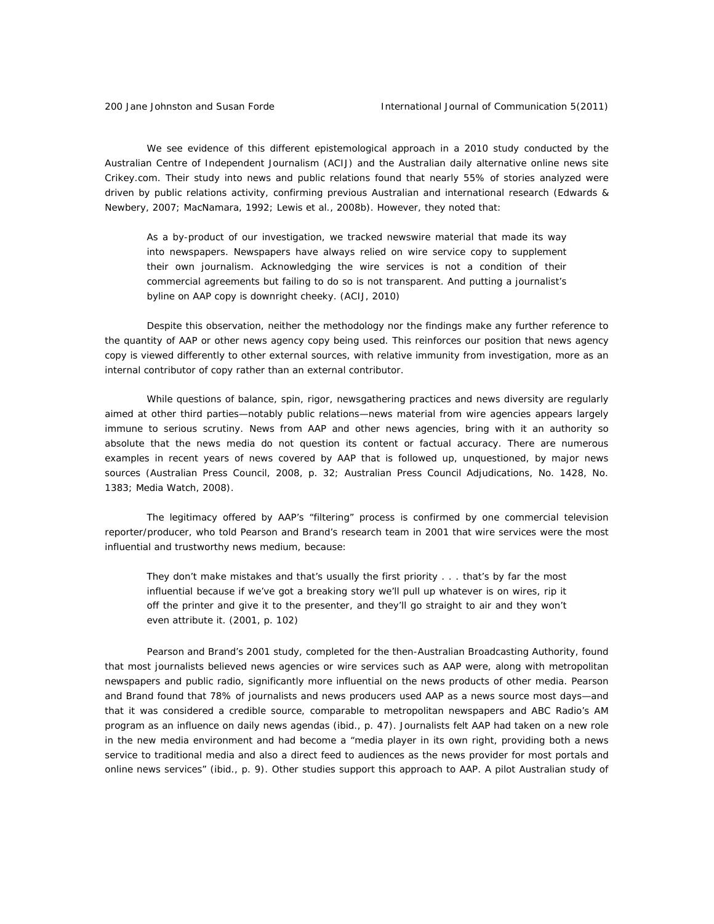We see evidence of this different epistemological approach in a 2010 study conducted by the Australian Centre of Independent Journalism (ACIJ) and the Australian daily alternative online news site Crikey.com. Their study into news and public relations found that nearly 55% of stories analyzed were driven by public relations activity, confirming previous Australian and international research (Edwards & Newbery, 2007; MacNamara, 1992; Lewis et al., 2008b). However, they noted that:

As a by-product of our investigation, we tracked newswire material that made its way into newspapers. Newspapers have always relied on wire service copy to supplement their own journalism. Acknowledging the wire services is not a condition of their commercial agreements but failing to do so is not transparent. And putting a journalist's byline on AAP copy is downright cheeky. (ACIJ, 2010)

Despite this observation, neither the methodology nor the findings make any further reference to the quantity of AAP or other news agency copy being used. This reinforces our position that news agency copy is viewed *differently* to other external sources, with relative immunity from investigation, more as an internal contributor of copy rather than an external contributor.

While questions of balance, spin, rigor, newsgathering practices and news diversity are regularly aimed at other third parties—notably public relations—news material from wire agencies appears largely immune to serious scrutiny. News from AAP and other news agencies, bring with it an authority so absolute that the news media do not question its content or factual accuracy. There are numerous examples in recent years of news covered by AAP that is followed up, unquestioned, by major news sources (Australian Press Council, 2008, p. 32; Australian Press Council Adjudications, No. 1428, No. 1383; *Media Watch,* 2008).

The legitimacy offered by AAP's "filtering" process is confirmed by one commercial television reporter/producer, who told Pearson and Brand's research team in 2001 that wire services were the most influential and trustworthy news medium, because:

They don't make mistakes and that's usually the first priority . . . that's by far the most influential because if we've got a breaking story we'll pull up whatever is on wires, rip it off the printer and give it to the presenter, and they'll go straight to air and they won't even attribute it. (2001, p. 102)

Pearson and Brand's 2001 study, completed for the then-Australian Broadcasting Authority, found that most journalists believed news agencies or wire services such as AAP were, along with metropolitan newspapers and public radio, significantly more influential on the news products of other media. Pearson and Brand found that 78% of journalists and news producers used AAP as a news source most days—and that it was considered a credible source, comparable to metropolitan newspapers and ABC Radio's AM program as an influence on daily news agendas (ibid., p. 47). Journalists felt AAP had taken on a new role in the new media environment and had become a "media player in its own right, providing both a news service to traditional media and also a direct feed to audiences as the news provider for most portals and online news services" (ibid., p. 9). Other studies support this approach to AAP. A pilot Australian study of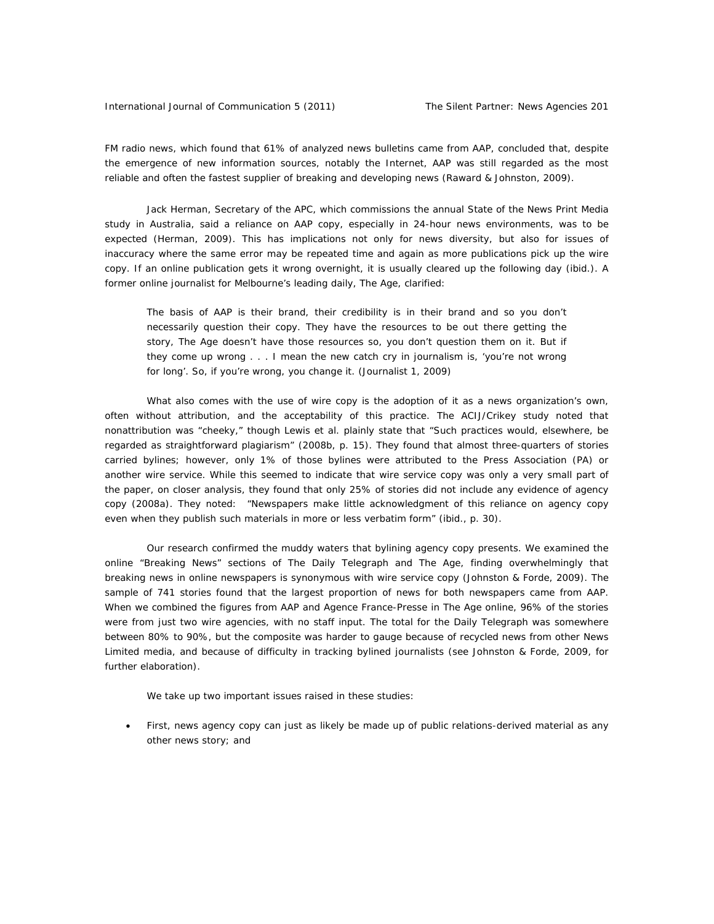FM radio news, which found that 61% of analyzed news bulletins came from AAP, concluded that, despite the emergence of new information sources, notably the Internet, AAP was still regarded as the most reliable and often the fastest supplier of breaking and developing news (Raward & Johnston, 2009).

Jack Herman, Secretary of the APC, which commissions the annual State of the News Print Media study in Australia, said a reliance on AAP copy, especially in 24-hour news environments, was to be expected (Herman, 2009). This has implications not only for news diversity, but also for issues of inaccuracy where the same error may be repeated time and again as more publications pick up the wire copy. If an online publication gets it wrong overnight, it is usually cleared up the following day (ibid.). A former online journalist for Melbourne's leading daily, *The Age,* clarified:

The basis of AAP is their brand, their credibility is in their brand and so you don't necessarily question their copy. They have the resources to be out there getting the story, *The Age* doesn't have those resources so, you don't question them on it. But if they come up wrong . . . I mean the new catch cry in journalism is, 'you're not wrong for long'. So, if you're wrong, you change it. (Journalist 1, 2009)

What also comes with the use of wire copy is the adoption of it as a news organization's own, often without attribution, and the acceptability of this practice. The ACIJ/Crikey study noted that nonattribution was "cheeky," though Lewis et al. plainly state that "Such practices would, elsewhere, be regarded as straightforward plagiarism" (2008b, p. 15). They found that almost three-quarters of stories carried bylines; however, only 1% of those bylines were attributed to the Press Association (PA) or another wire service. While this seemed to indicate that wire service copy was only a very small part of the paper, on closer analysis, they found that only 25% of stories did not include any evidence of agency copy (2008a). They noted: "Newspapers make little acknowledgment of this reliance on agency copy even when they publish such materials in more or less verbatim form" (ibid., p. 30).

Our research confirmed the muddy waters that bylining agency copy presents. We examined the online "Breaking News" sections of *The Daily Telegraph* and *The Age*, finding overwhelmingly that breaking news in online newspapers is synonymous with wire service copy (Johnston & Forde, 2009). The sample of 741 stories found that the largest proportion of news for both newspapers came from AAP. When we combined the figures from AAP and Agence France-Presse in *The Age* online, 96% of the stories were from just two wire agencies, with no staff input. The total for the *Daily Telegraph* was somewhere between 80% to 90%, but the composite was harder to gauge because of recycled news from other News Limited media, and because of difficulty in tracking bylined journalists (see Johnston & Forde, 2009, for further elaboration).

We take up two important issues raised in these studies:

• First, news agency copy can just as likely be made up of public relations-derived material as any other news story; and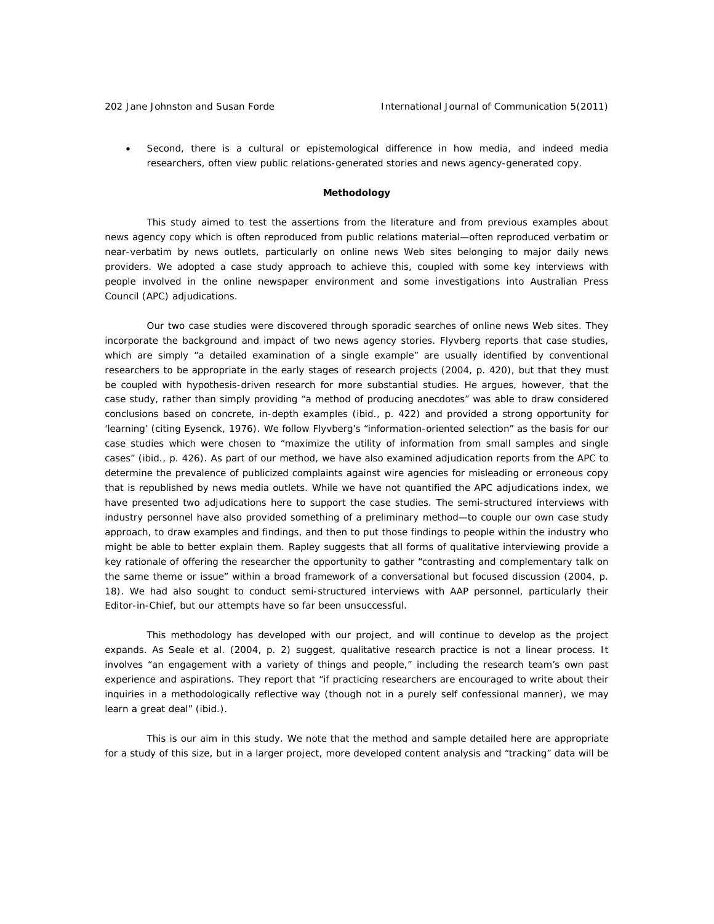• Second, there is a cultural or epistemological difference in how media, and indeed media researchers, often view public relations-generated stories and news agency-generated copy.

# **Methodology**

This study aimed to test the assertions from the literature and from previous examples about news agency copy which is often reproduced from public relations material—often reproduced verbatim or near-verbatim by news outlets, particularly on online news Web sites belonging to major daily news providers. We adopted a case study approach to achieve this, coupled with some key interviews with people involved in the online newspaper environment and some investigations into Australian Press Council (APC) adjudications.

Our two case studies were discovered through sporadic searches of online news Web sites. They incorporate the background and impact of two news agency stories. Flyvberg reports that case studies, which are simply "a detailed examination of a single example" are usually identified by conventional researchers to be appropriate in the early stages of research projects (2004, p. 420), but that they must be coupled with hypothesis-driven research for more substantial studies. He argues, however, that the case study, rather than simply providing "a method of producing anecdotes" was able to draw considered conclusions based on concrete, in-depth examples (ibid., p. 422) and provided a strong opportunity for 'learning' (citing Eysenck, 1976). We follow Flyvberg's "information-oriented selection" as the basis for our case studies which were chosen to "maximize the utility of information from small samples and single cases" (ibid., p. 426). As part of our method, we have also examined adjudication reports from the APC to determine the prevalence of publicized complaints against wire agencies for misleading or erroneous copy that is republished by news media outlets. While we have not quantified the APC adjudications index, we have presented two adjudications here to support the case studies. The semi-structured interviews with industry personnel have also provided something of a preliminary method—to couple our own case study approach, to draw examples and findings, and then to put those findings to people within the industry who might be able to better explain them. Rapley suggests that all forms of qualitative interviewing provide a key rationale of offering the researcher the opportunity to gather "contrasting and complementary talk on the same theme or issue" within a broad framework of a conversational but focused discussion (2004, p. 18). We had also sought to conduct semi-structured interviews with AAP personnel, particularly their Editor-in-Chief, but our attempts have so far been unsuccessful.

This methodology has developed with our project, and will continue to develop as the project expands. As Seale et al. (2004, p. 2) suggest, qualitative research practice is not a linear process. It involves "an engagement with a variety of things and people," including the research team's own past experience and aspirations. They report that "if practicing researchers are encouraged to write about their inquiries in a methodologically reflective way (though not in a purely self confessional manner), we may learn a great deal" (ibid.).

This is our aim in this study. We note that the method and sample detailed here are appropriate for a study of this size, but in a larger project, more developed content analysis and "tracking" data will be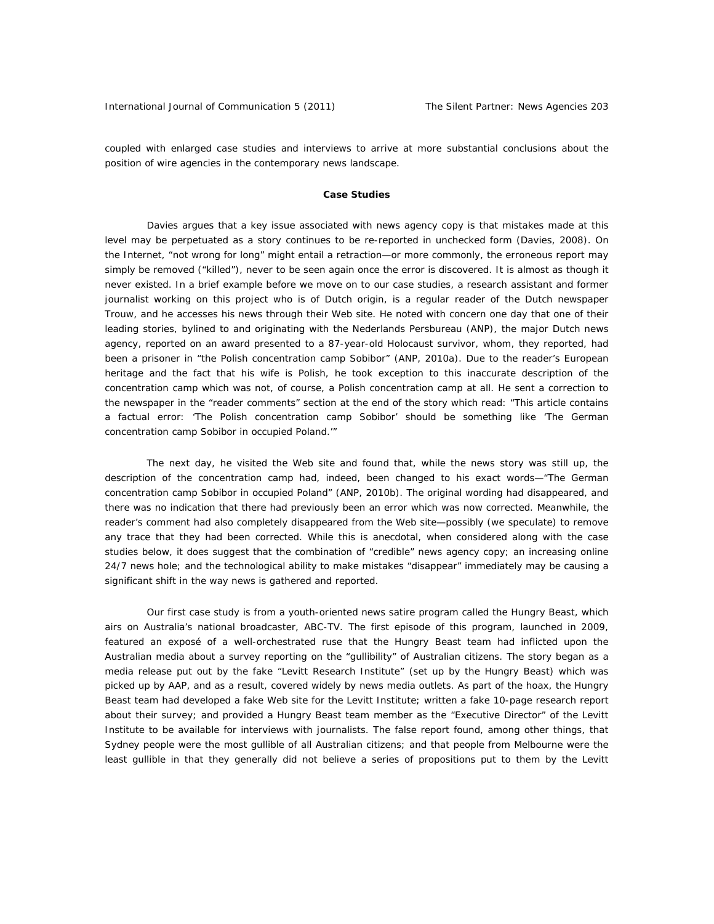coupled with enlarged case studies and interviews to arrive at more substantial conclusions about the position of wire agencies in the contemporary news landscape.

## **Case Studies**

Davies argues that a key issue associated with news agency copy is that mistakes made at this level may be perpetuated as a story continues to be re-reported in unchecked form (Davies, 2008). On the Internet, "not wrong for long" might entail a retraction—or more commonly, the erroneous report may simply be removed ("killed"), never to be seen again once the error is discovered. It is almost as though it never existed. In a brief example before we move on to our case studies, a research assistant and former journalist working on this project who is of Dutch origin, is a regular reader of the Dutch newspaper *Trouw,* and he accesses his news through their Web site*.* He noted with concern one day that one of their leading stories, bylined to and originating with the Nederlands Persbureau (ANP), the major Dutch news agency, reported on an award presented to a 87-year-old Holocaust survivor, whom, they reported, had been a prisoner in "the Polish concentration camp Sobibor" (ANP, 2010a). Due to the reader's European heritage and the fact that his wife is Polish, he took exception to this inaccurate description of the concentration camp which was not, of course, a *Polish* concentration camp at all. He sent a correction to the newspaper in the "reader comments" section at the end of the story which read: "This article contains a factual error: 'The Polish concentration camp Sobibor' should be something like 'The German concentration camp Sobibor in occupied Poland.'"

The next day, he visited the Web site and found that, while the news story was still up, the description of the concentration camp had, indeed, been changed to his exact words—"The German concentration camp Sobibor in occupied Poland" (ANP, 2010b). The original wording had disappeared, and there was no indication that there had previously been an error which was now corrected. Meanwhile, the reader's comment had also completely disappeared from the Web site—possibly (we speculate) to remove any trace that they had been corrected. While this is anecdotal, when considered along with the case studies below, it does suggest that the combination of "credible" news agency copy; an increasing online 24/7 news hole; and the technological ability to make mistakes "disappear" immediately may be causing a significant shift in the way news is gathered and reported.

Our first case study is from a youth-oriented news satire program called the *Hungry Beast,* which airs on Australia's national broadcaster, ABC-TV. The first episode of this program, launched in 2009, featured an exposé of a well-orchestrated ruse that the *Hungry Beast* team had inflicted upon the Australian media about a survey reporting on the "gullibility" of Australian citizens. The story began as a media release put out by the fake "Levitt Research Institute" (set up by the *Hungry Beast*) which was picked up by AAP, and as a result, covered widely by news media outlets. As part of the hoax, the *Hungry Beast* team had developed a fake Web site for the Levitt Institute; written a fake 10-page research report about their survey; and provided a *Hungry Beast* team member as the "Executive Director" of the Levitt Institute to be available for interviews with journalists. The false report found, among other things, that Sydney people were the most gullible of all Australian citizens; and that people from Melbourne were the least gullible in that they generally did not believe a series of propositions put to them by the Levitt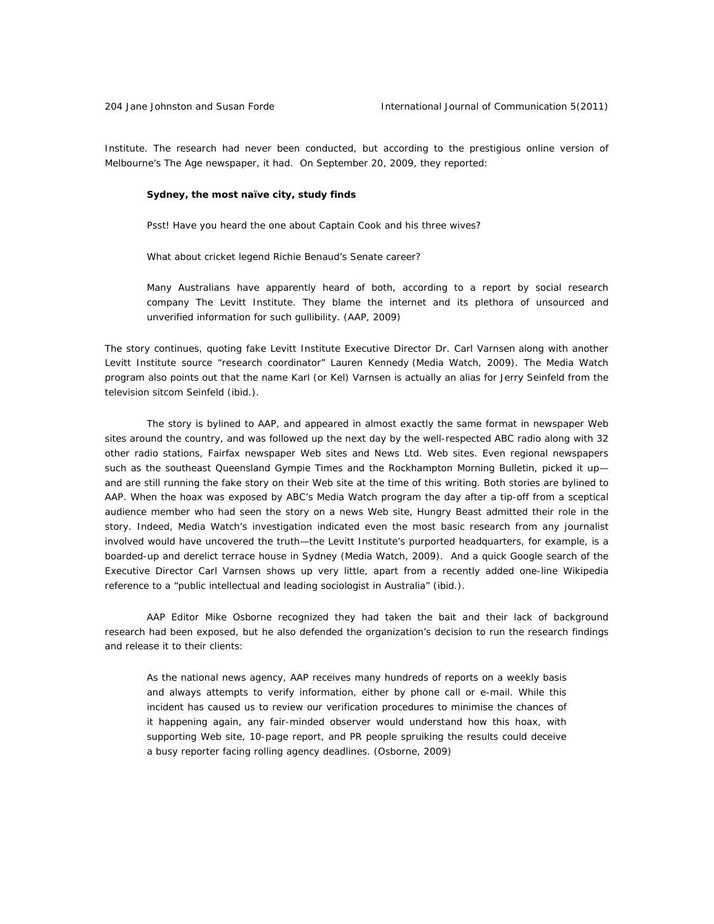Institute. The research had never been conducted, but according to the prestigious online version of Melbourne's *The Age* newspaper, it had. On September 20, 2009, they reported:

## **Sydney, the most naïve city, study finds**

Psst! Have you heard the one about Captain Cook and his three wives?

What about cricket legend Richie Benaud's Senate career?

Many Australians have apparently heard of both, according to a report by social research company The Levitt Institute. They blame the internet and its plethora of unsourced and unverified information for such gullibility. (AAP, 2009)

The story continues, quoting fake Levitt Institute Executive Director Dr. Carl Varnsen along with another Levitt Institute source "research coordinator" Lauren Kennedy (*Media Watch,* 2009). The *Media Watch* program also points out that the name Karl (or Kel) Varnsen is actually an alias for Jerry Seinfeld from the television sitcom *Seinfeld* (ibid.).

The story is bylined to AAP, and appeared in almost exactly the same format in newspaper Web sites around the country, and was followed up the next day by the well-respected ABC radio along with 32 other radio stations, Fairfax newspaper Web sites and News Ltd. Web sites. Even regional newspapers such as the southeast Queensland *Gympie Times* and the *Rockhampton Morning Bulletin*, picked it up and are still running the fake story on their Web site at the time of this writing. Both stories are bylined to AAP. When the hoax was exposed by ABC's *Media Watch* program the day after a tip-off from a sceptical audience member who had seen the story on a news Web site, *Hungry Beast* admitted their role in the story. Indeed, *Media Watch's* investigation indicated even the most basic research from any journalist involved would have uncovered the truth—the Levitt Institute's purported headquarters, for example, is a boarded-up and derelict terrace house in Sydney (*Media Watch*, 2009). And a quick Google search of the Executive Director Carl Varnsen shows up very little, apart from a recently added one-line Wikipedia reference to a "public intellectual and leading sociologist in Australia" (ibid.).

AAP Editor Mike Osborne recognized they had taken the bait and their lack of background research had been exposed, but he also defended the organization's decision to run the research findings and release it to their clients:

As the national news agency, AAP receives many hundreds of reports on a weekly basis and always attempts to verify information, either by phone call or e-mail. While this incident has caused us to review our verification procedures to minimise the chances of it happening again, any fair-minded observer would understand how this hoax, with supporting Web site, 10-page report, and PR people spruiking the results could deceive a busy reporter facing rolling agency deadlines. (Osborne, 2009)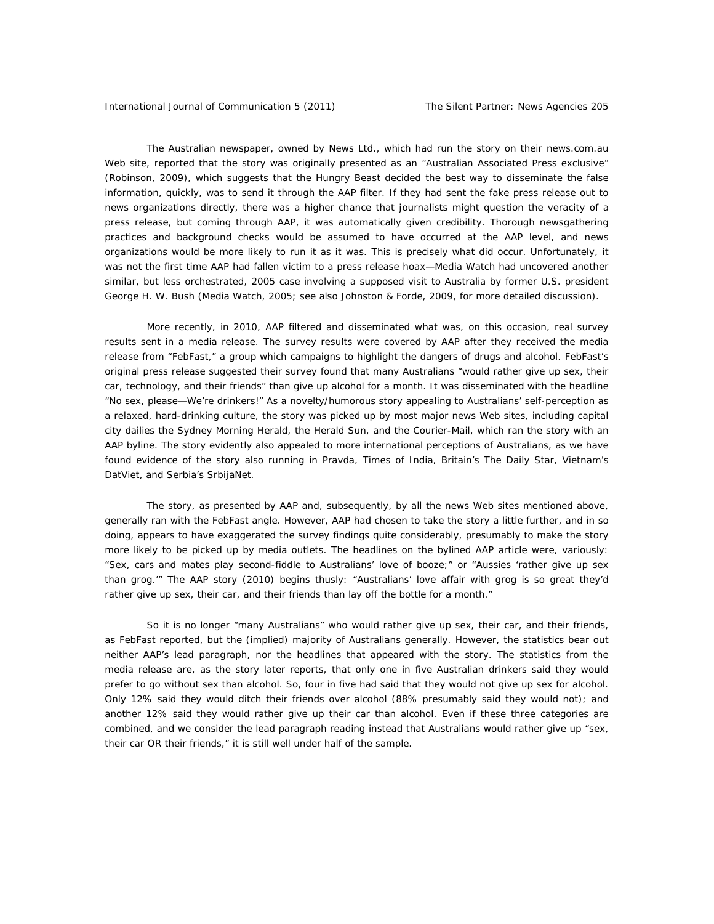*The Australian* newspaper, owned by News Ltd., which had run the story on their news.com.au Web site, reported that the story was originally presented as an "Australian Associated Press exclusive" (Robinson, 2009), which suggests that the *Hungry Beast* decided the best way to disseminate the false information, quickly, was to send it through the AAP filter. If they had sent the fake press release out to news organizations directly, there was a higher chance that journalists might question the veracity of a press release, but coming through AAP, it was automatically given credibility. Thorough newsgathering practices and background checks would be assumed to have occurred at the AAP level, and news organizations would be more likely to run it as it was. This is precisely what did occur. Unfortunately, it was not the first time AAP had fallen victim to a press release hoax—*Media Watch* had uncovered another similar, but less orchestrated, 2005 case involving a supposed visit to Australia by former U.S. president George H. W. Bush (*Media Watch*, 2005; see also Johnston & Forde, 2009, for more detailed discussion).

More recently, in 2010, AAP filtered and disseminated what was, on this occasion, real survey results sent in a media release. The survey results were covered by AAP after they received the media release from "FebFast," a group which campaigns to highlight the dangers of drugs and alcohol. FebFast's original press release suggested their survey found that *many* Australians "would rather give up sex, their car, technology, and their friends" than give up alcohol for a month. It was disseminated with the headline "No sex, please—We're drinkers!" As a novelty/humorous story appealing to Australians' self-perception as a relaxed, hard-drinking culture, the story was picked up by most major news Web sites, including capital city dailies the *Sydney Morning Herald,* the *Herald Sun,* and the *Courier-Mail,* which ran the story with an AAP byline. The story evidently also appealed to more international perceptions of Australians, as we have found evidence of the story also running in *Pravda, Times of India,* Britain's *The Daily Star,* Vietnam's *DatViet,* and Serbia's *SrbijaNet*.

The story, as presented by AAP and, subsequently, by all the news Web sites mentioned above, generally ran with the FebFast angle. However, AAP had chosen to take the story a little further, and in so doing, appears to have exaggerated the survey findings quite considerably, presumably to make the story more likely to be picked up by media outlets. The headlines on the bylined AAP article were, variously: "Sex, cars and mates play second-fiddle to Australians' love of booze;" or "Aussies 'rather give up sex than grog.'" The AAP story (2010) begins thusly: "Australians' love affair with grog is so great they'd rather give up sex, their car, and their friends than lay off the bottle for a month."

So it is no longer "many Australians" who would rather give up sex, their car, and their friends, as FebFast reported, but the (implied) majority of Australians generally. However, the statistics bear out neither AAP's lead paragraph, nor the headlines that appeared with the story. The statistics from the media release are, as the story later reports, that only one in five Australian drinkers said they would prefer to go without sex than alcohol. So, four in five had said that they *would not* give up sex for alcohol. Only 12% said they would ditch their friends over alcohol (88% presumably said they would not); and another 12% said they would rather give up their car than alcohol. Even if these three categories are combined, and we consider the lead paragraph reading instead that Australians would rather give up "sex, their car OR their friends," it is still well under half of the sample.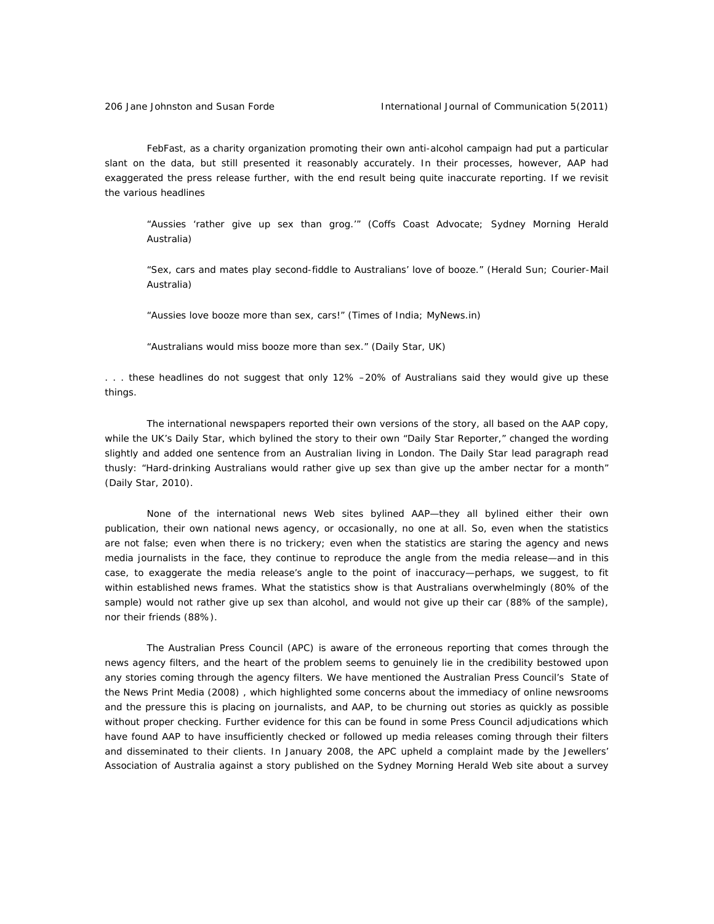FebFast, as a charity organization promoting their own anti-alcohol campaign had put a particular slant on the data, but still presented it reasonably accurately. In their processes, however, AAP had exaggerated the press release further, with the end result being quite inaccurate reporting. If we revisit the various headlines

"Aussies 'rather give up sex than grog.'" (*Coffs Coast Advocate; Sydney Morning Herald*  Australia*)* 

"Sex, cars and mates play second-fiddle to Australians' love of booze." (*Herald Sun*; *Courier-Mail*  Australia)

"Aussies love booze more than sex, cars!" (*Times of India; MyNews.in)* 

"Australians would miss booze more than sex." (*Daily Star,* UK)

. . . these headlines do not suggest that only 12% –20% of Australians said they would give up these things.

The international newspapers reported their own versions of the story, all based on the AAP copy, while the UK's *Daily Star,* which bylined the story to their own "Daily Star Reporter," changed the wording slightly and added one sentence from an Australian living in London. The *Daily Star* lead paragraph read thusly: "Hard-drinking Australians would rather give up sex than give up the amber nectar for a month" (Daily Star, 2010).

None of the international news Web sites bylined AAP—they all bylined either their own publication, their own national news agency, or occasionally, no one at all. So, even when the statistics are not false; even when there is no trickery; even when the statistics are staring the agency and news media journalists in the face, they continue to reproduce the angle from the media release—and in this case, to exaggerate the media release's angle to the point of inaccuracy—perhaps, we suggest, to fit within established news frames. What the statistics show is that Australians overwhelmingly (80% of the sample) *would not* rather give up sex than alcohol, and would not give up their car (88% of the sample), nor their friends (88%).

The Australian Press Council (APC) is aware of the erroneous reporting that comes through the news agency filters, and the heart of the problem seems to genuinely lie in the credibility bestowed upon any stories coming through the agency filters. We have mentioned the Australian Press Council's *State of the News Print Media* (2008) , which highlighted some concerns about the immediacy of online newsrooms and the pressure this is placing on journalists, and AAP, to be churning out stories as quickly as possible without proper checking. Further evidence for this can be found in some Press Council adjudications which have found AAP to have insufficiently checked or followed up media releases coming through their filters and disseminated to their clients. In January 2008, the APC upheld a complaint made by the Jewellers' Association of Australia against a story published on the *Sydney Morning Herald* Web site about a survey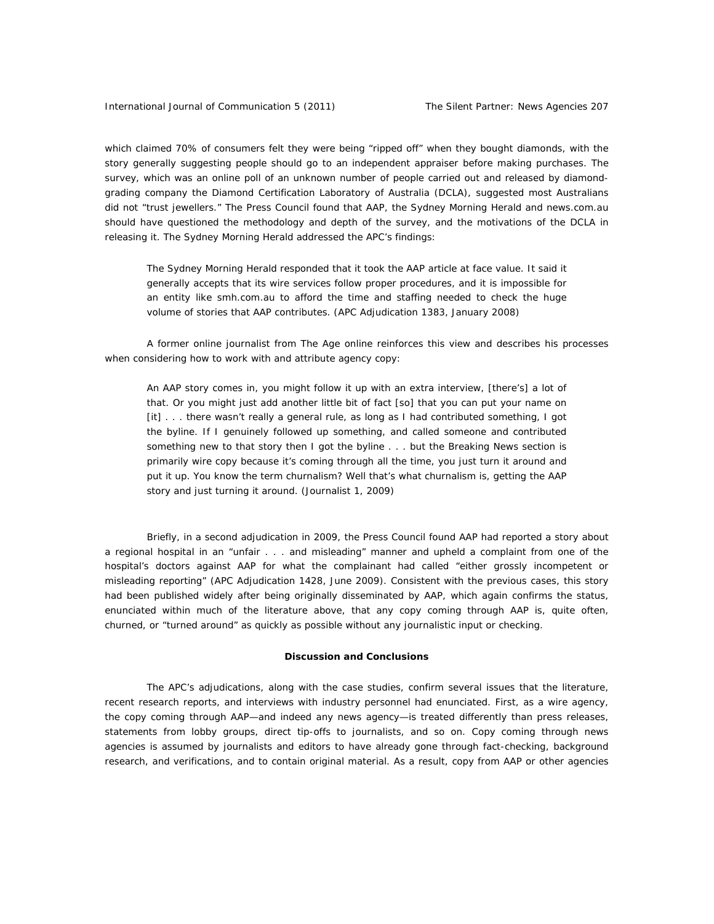which claimed 70% of consumers felt they were being "ripped off" when they bought diamonds, with the story generally suggesting people should go to an independent appraiser before making purchases. The survey, which was an online poll of an unknown number of people carried out and released by diamondgrading company the Diamond Certification Laboratory of Australia (DCLA), suggested most Australians did not "trust jewellers." The Press Council found that AAP, the *Sydney Morning Herald* and *news.com.au* should have questioned the methodology and depth of the survey, and the motivations of the DCLA in releasing it. The *Sydney Morning Herald* addressed the APC's findings:

*The Sydney Morning Herald* responded that it took the AAP article at face value. It said it generally accepts that its wire services follow proper procedures, and it is impossible for an entity like *smh.com.au* to afford the time and staffing needed to check the huge volume of stories that AAP contributes. (APC Adjudication 1383, January 2008)

A former online journalist from *The Age* online reinforces this view and describes his processes when considering how to work with and attribute agency copy:

An AAP story comes in, you might follow it up with an extra interview, [there's] a lot of that. Or you might just add another little bit of fact [so] that you can put your name on [it] . . . there wasn't really a general rule, as long as I had contributed something, I got the byline. If I genuinely followed up something, and called someone and contributed something new to that story then I got the byline . . . but the Breaking News section is primarily wire copy because it's coming through all the time, you just turn it around and put it up. You know the term churnalism? Well that's what churnalism is, getting the AAP story and just turning it around. (Journalist 1, 2009)

Briefly, in a second adjudication in 2009, the Press Council found AAP had reported a story about a regional hospital in an "unfair . . . and misleading" manner and upheld a complaint from one of the hospital's doctors against AAP for what the complainant had called "either grossly incompetent or misleading reporting" (APC Adjudication 1428, June 2009). Consistent with the previous cases, this story had been published widely after being originally disseminated by AAP, which again confirms the status, enunciated within much of the literature above, that any copy coming through AAP is, quite often, churned, or "turned around" as quickly as possible without any journalistic input or checking.

#### **Discussion and Conclusions**

The APC's adjudications, along with the case studies, confirm several issues that the literature, recent research reports, and interviews with industry personnel had enunciated. First, as a wire agency, the copy coming through AAP—and indeed any news agency—is treated differently than press releases, statements from lobby groups, direct tip-offs to journalists, and so on. Copy coming through news agencies is *assumed* by journalists and editors to have already gone through fact-checking, background research, and verifications, and to contain original material. As a result, copy from AAP or other agencies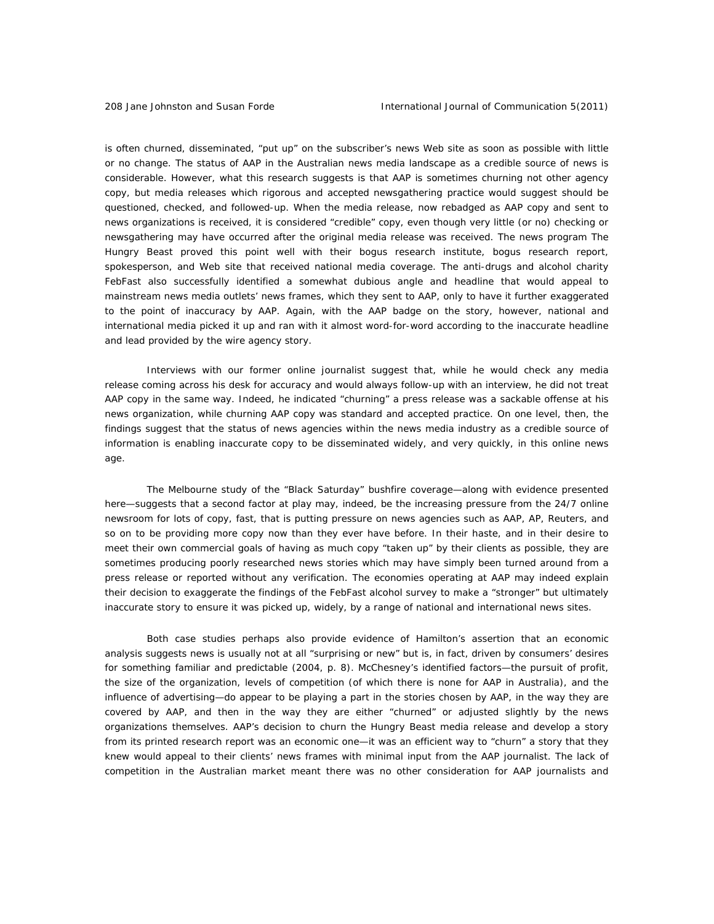is often churned, disseminated, "put up" on the subscriber's news Web site as soon as possible with little or no change. The status of AAP in the Australian news media landscape as a credible source of news is considerable. However, what this research suggests is that AAP is sometimes churning not other agency copy, but media releases which rigorous and accepted newsgathering practice would suggest should be questioned, checked, and followed-up. When the media release, now rebadged as AAP copy and sent to news organizations is received, it is considered "credible" copy, even though very little (or no) checking or newsgathering may have occurred after the original media release was received. The news program *The Hungry Beast* proved this point well with their bogus research institute, bogus research report, spokesperson, and Web site that received national media coverage. The anti-drugs and alcohol charity FebFast also successfully identified a somewhat dubious angle and headline that would appeal to mainstream news media outlets' news frames, which they sent to AAP, only to have it further exaggerated to the point of inaccuracy by AAP. Again, with the AAP badge on the story, however, national and international media picked it up and ran with it almost word-for-word according to the inaccurate headline and lead provided by the wire agency story.

Interviews with our former online journalist suggest that, while he would check *any* media release coming across his desk for accuracy and would always follow-up with an interview, he did not treat AAP copy in the same way. Indeed, he indicated "churning" a press release was a sackable offense at his news organization, while churning AAP copy was standard and accepted practice. On one level, then, the findings suggest that the *status* of news agencies within the news media industry as a credible source of information is enabling inaccurate copy to be disseminated widely, and very quickly, in this online news age.

The Melbourne study of the "Black Saturday" bushfire coverage—along with evidence presented here—suggests that a second factor at play may, indeed, be the increasing pressure from the 24/7 online newsroom for lots of copy, fast, that is putting pressure on news agencies such as AAP, AP, Reuters, and so on to be providing more copy now than they ever have before. In their haste, and in their desire to meet their own commercial goals of having as much copy "taken up" by their clients as possible, they are sometimes producing poorly researched news stories which may have simply been turned around from a press release or reported without any verification. The economies operating at AAP may indeed explain their decision to exaggerate the findings of the FebFast alcohol survey to make a "stronger" but ultimately inaccurate story to ensure it was picked up, widely, by a range of national and international news sites.

Both case studies perhaps also provide evidence of Hamilton's assertion that an economic analysis suggests news is usually not at all "surprising or new" but is, in fact, driven by consumers' desires for something familiar and predictable (2004, p. 8). McChesney's identified factors—the pursuit of profit, the size of the organization, levels of competition (of which there is none for AAP in Australia), and the influence of advertising—do appear to be playing a part in the stories chosen by AAP, in the way they are covered by AAP, and then in the way they are either "churned" or adjusted slightly by the news organizations themselves. AAP's decision to churn the *Hungry Beast* media release and develop a story from its printed research report was an economic one—it was an efficient way to "churn" a story that they knew would appeal to their clients' news frames with minimal input from the AAP journalist. The lack of competition in the Australian market meant there was no other consideration for AAP journalists and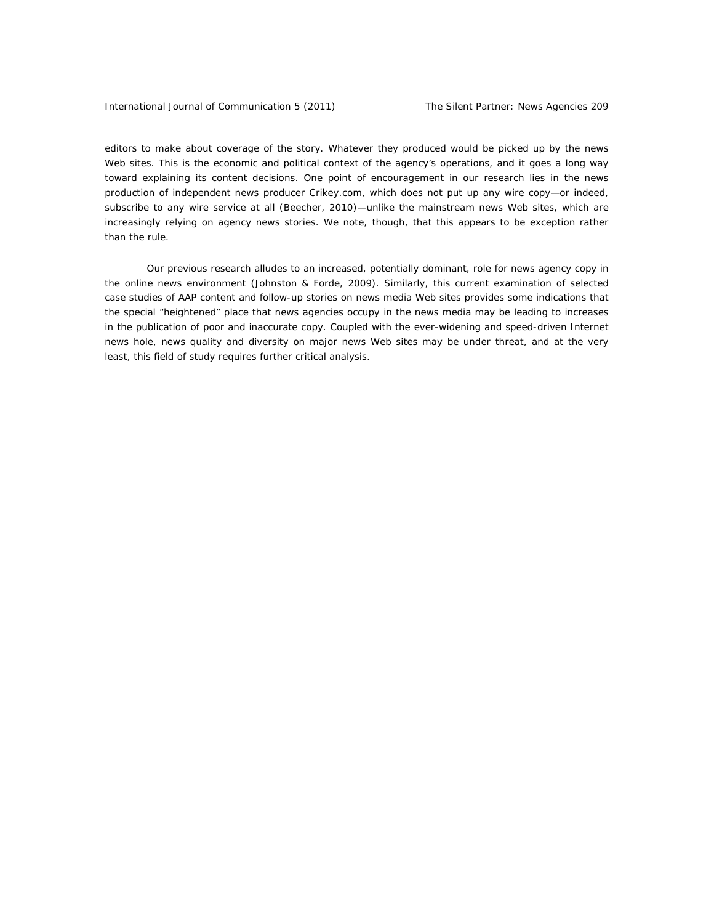editors to make about coverage of the story. Whatever they produced would be picked up by the news Web sites. This is the economic and political context of the agency's operations, and it goes a long way toward explaining its content decisions. One point of encouragement in our research lies in the news production of independent news producer *Crikey.com,* which does not put up any wire copy—or indeed, subscribe to any wire service at all (Beecher, 2010)—unlike the mainstream news Web sites, which are increasingly relying on agency news stories. We note, though, that this appears to be exception rather than the rule.

Our previous research alludes to an increased, potentially dominant, role for news agency copy in the online news environment (Johnston & Forde, 2009). Similarly, this current examination of selected case studies of AAP content and follow-up stories on news media Web sites provides some indications that the special "heightened" place that news agencies occupy in the news media may be leading to increases in the publication of poor and inaccurate copy. Coupled with the ever-widening and speed-driven Internet news hole, news quality and diversity on major news Web sites may be under threat, and at the very least, this field of study requires further critical analysis.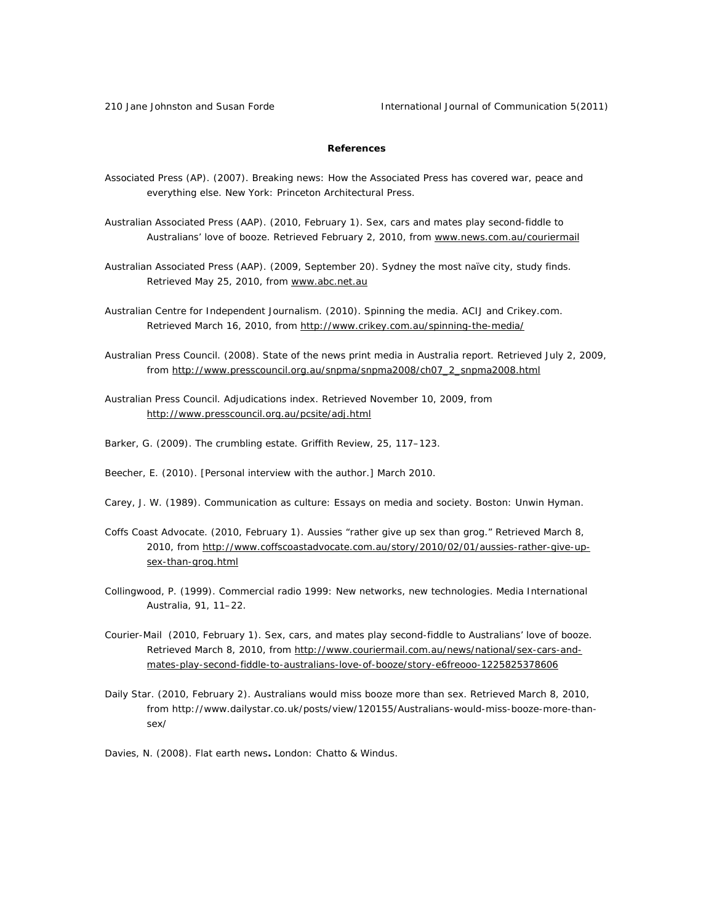210 Jane Johnston and Susan Forde International Journal of Communication 5(2011)

# **References**

- Associated Press (AP). (2007). *Breaking news: How the Associated Press has covered war, peace and everything else.* New York: Princeton Architectural Press.
- Australian Associated Press (AAP). (2010, February 1). *Sex, cars and mates play second-fiddle to Australians' love of booze.* Retrieved February 2, 2010, from www.news.com.au/couriermail
- Australian Associated Press (AAP). (2009, September 20). *Sydney the most naïve city, study finds*. Retrieved May 25, 2010, from www.abc.net.au
- Australian Centre for Independent Journalism. (2010). *Spinning the media*. ACIJ and Crikey.com. Retrieved March 16, 2010, from http://www.crikey.com.au/spinning-the-media/
- Australian Press Council. (2008). *State of the news print media in Australia report*. Retrieved July 2, 2009, from http://www.presscouncil.org.au/snpma/snpma2008/ch07\_2\_snpma2008.html
- Australian Press Council. *Adjudications index*. Retrieved November 10, 2009, from http://www.presscouncil.org.au/pcsite/adj.html
- Barker, G. (2009). The crumbling estate. *Griffith Review, 25*, 117–123.
- Beecher, E. (2010). [Personal interview with the author.] March 2010.
- Carey, J. W. (1989). *Communication as culture: Essays on media and society*. Boston: Unwin Hyman.
- *Coffs Coast Advocate.* (2010, February 1). Aussies "rather give up sex than grog." Retrieved March 8, 2010, from http://www.coffscoastadvocate.com.au/story/2010/02/01/aussies-rather-give-upsex-than-grog.html
- Collingwood, P. (1999). Commercial radio 1999: New networks, new technologies. *Media International Australia, 91*, 11–22.
- *Courier-Mail* (2010, February 1). Sex, cars, and mates play second-fiddle to Australians' love of booze. Retrieved March 8, 2010, from http://www.couriermail.com.au/news/national/sex-cars-andmates-play-second-fiddle-to-australians-love-of-booze/story-e6freooo-1225825378606
- *Daily Star.* (2010, February 2). Australians would miss booze more than sex. Retrieved March 8, 2010, from http://www.dailystar.co.uk/posts/view/120155/Australians-would-miss-booze-more-thansex/
- Davies, N. (2008). *Flat earth news***.** London: Chatto & Windus.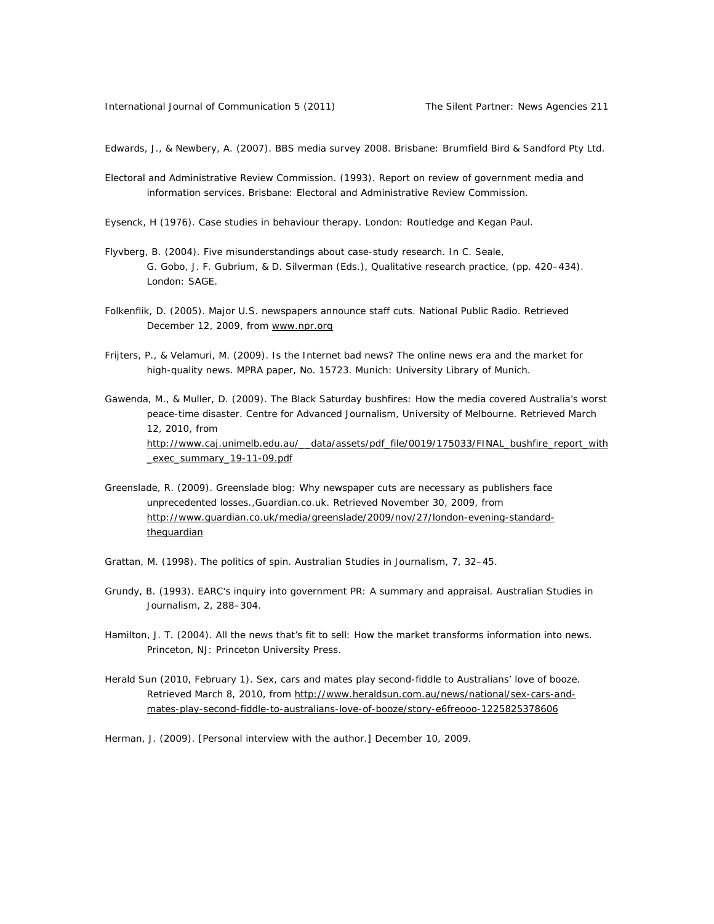Edwards, J., & Newbery, A. (2007). *BBS media survey 2008*. Brisbane: Brumfield Bird & Sandford Pty Ltd.

Electoral and Administrative Review Commission. (1993). *Report on review of government media and information services.* Brisbane: Electoral and Administrative Review Commission.

Eysenck, H (1976). *Case studies in behaviour therapy.* London: Routledge and Kegan Paul.

- Flyvberg, B. (2004). Five misunderstandings about case-study research. In C. Seale, G. Gobo, J. F. Gubrium, & D. Silverman (Eds.), *Qualitative research practice,* (pp. 420–434). London: SAGE.
- Folkenflik, D. (2005). Major U.S. newspapers announce staff cuts. *National Public Radio*. Retrieved December 12, 2009, from www.npr.org
- Frijters, P., & Velamuri, M. (2009). Is the Internet bad news? The online news era and the market for high-quality news. *MPRA paper, No.* 15723. Munich: University Library of Munich.
- Gawenda, M., & Muller, D. (2009). *The Black Saturday bushfires: How the media covered Australia's worst peace-time disaster*. Centre for Advanced Journalism, University of Melbourne. Retrieved March 12, 2010, from http://www.caj.unimelb.edu.au/ data/assets/pdf\_file/0019/175033/FINAL\_bushfire\_report\_with \_exec\_summary\_19-11-09.pdf
- Greenslade, R. (2009). Greenslade blog: Why newspaper cuts are necessary as publishers face unprecedented losses.,*Guardian.co.uk.* Retrieved November 30, 2009, from http://www.guardian.co.uk/media/greenslade/2009/nov/27/london-evening-standardtheguardian
- Grattan, M. (1998). The politics of spin. *Australian Studies in Journalism, 7*, 32–45.
- Grundy, B. (1993). EARC's inquiry into government PR: A summary and appraisal. *Australian Studies in Journalism*, *2*, 288–304.
- Hamilton, J. T. (2004). *All the news that's fit to sell: How the market transforms information into news*. Princeton, NJ: Princeton University Press.
- *Herald Sun* (2010, February 1). Sex, cars and mates play second-fiddle to Australians' love of booze. Retrieved March 8, 2010, from http://www.heraldsun.com.au/news/national/sex-cars-andmates-play-second-fiddle-to-australians-love-of-booze/story-e6freooo-1225825378606

Herman, J. (2009). [Personal interview with the author.] December 10, 2009.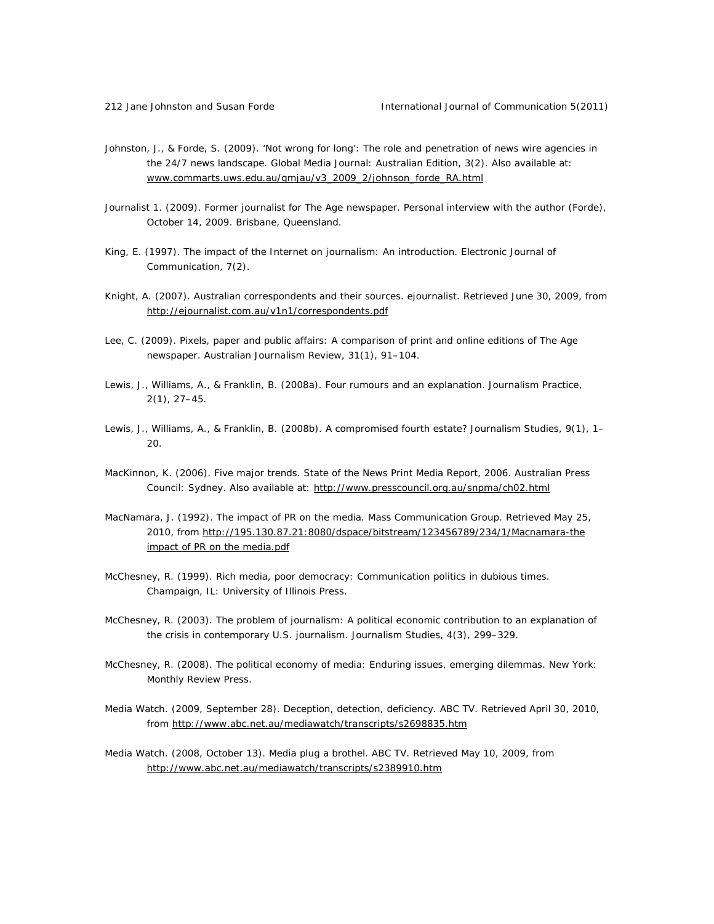- Johnston, J., & Forde, S. (2009). 'Not wrong for long': The role and penetration of news wire agencies in the 24/7 news landscape. *Global Media Journal: Australian Edition,* 3(2). Also available at: www.commarts.uws.edu.au/gmjau/v3\_2009\_2/johnson\_forde\_RA.html
- Journalist 1. (2009). Former journalist for The Age newspaper. *Personal interview with the author* (Forde), October 14, 2009. Brisbane, Queensland.
- King, E. (1997). The impact of the Internet on journalism: An introduction. *Electronic Journal of Communication, 7*(2).
- Knight, A. (2007). Australian correspondents and their sources. *ejournalist*. Retrieved June 30, 2009, from http://ejournalist.com.au/v1n1/correspondents.pdf
- Lee, C. (2009). Pixels, paper and public affairs: A comparison of print and online editions of *The Age*  newspaper. *Australian Journalism Review, 31*(1), 91–104.
- Lewis, J., Williams, A., & Franklin, B. (2008a). Four rumours and an explanation. *Journalism Practice*, *2*(1), 27–45.
- Lewis, J., Williams, A., & Franklin, B. (2008b). A compromised fourth estate? *Journalism Studies*, *9*(1), 1– 20.
- MacKinnon, K. (2006). Five major trends. *State of the News Print Media Report, 2006.* Australian Press Council: Sydney. Also available at: http://www.presscouncil.org.au/snpma/ch02.html
- MacNamara, J. (1992). *The impact of PR on the media.* Mass Communication Group. Retrieved May 25, 2010, from http://195.130.87.21:8080/dspace/bitstream/123456789/234/1/Macnamara-the impact of PR on the media.pdf
- McChesney, R. (1999). *Rich media, poor democracy: Communication politics in dubious times.*  Champaign, IL: University of Illinois Press.
- McChesney, R. (2003). The problem of journalism: A political economic contribution to an explanation of the crisis in contemporary U.S. journalism. *Journalism Studies*, *4*(3), 299–329.
- McChesney, R. (2008). *The political economy of media: Enduring issues, emerging dilemmas.* New York: Monthly Review Press.
- Media Watch. (2009, September 28). *Deception, detection, deficiency*. ABC TV. Retrieved April 30, 2010, from http://www.abc.net.au/mediawatch/transcripts/s2698835.htm
- Media Watch. (2008, October 13). *Media plug a brothel*. ABC TV. Retrieved May 10, 2009, from http://www.abc.net.au/mediawatch/transcripts/s2389910.htm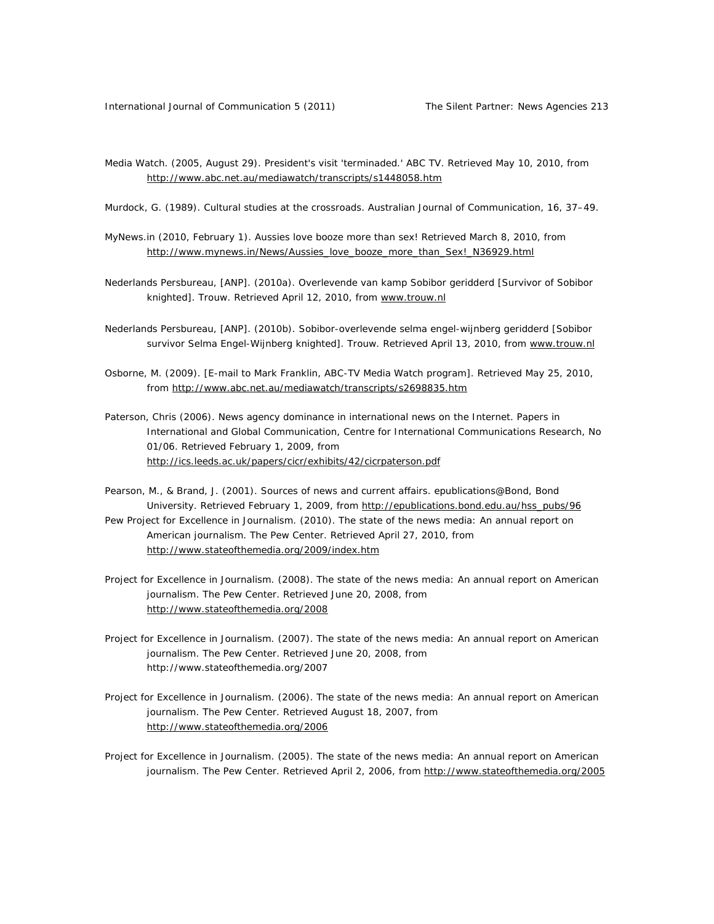*Media Watch*. (2005, August 29). *President's visit 'terminaded.'* ABC TV. Retrieved May 10, 2010, from http://www.abc.net.au/mediawatch/transcripts/s1448058.htm

Murdock, G. (1989). Cultural studies at the crossroads. *Australian Journal of Communication, 16*, 37–49.

- MyNews.in (2010, February 1). Aussies love booze more than sex! Retrieved March 8, 2010, from http://www.mynews.in/News/Aussies\_love\_booze\_more\_than\_Sex!\_N36929.html
- Nederlands Persbureau, [ANP]. (2010a). Overlevende van kamp Sobibor geridderd [Survivor of Sobibor knighted]. *Trouw*. Retrieved April 12, 2010, from www.trouw.nl
- Nederlands Persbureau, [ANP]. (2010b). Sobibor-overlevende selma engel-wijnberg geridderd [Sobibor survivor Selma Engel-Wijnberg knighted]. *Trouw*. Retrieved April 13, 2010, from www.trouw.nl
- Osborne, M. (2009). [E-mail to Mark Franklin, ABC-TV Media Watch program]*.* Retrieved May 25, 2010, from http://www.abc.net.au/mediawatch/transcripts/s2698835.htm
- Paterson, Chris (2006). News agency dominance in international news on the Internet. *Papers in International and Global Communication*, Centre for International Communications Research, No 01/06. Retrieved February 1, 2009, from http://ics.leeds.ac.uk/papers/cicr/exhibits/42/cicrpaterson.pdf
- Pearson, M., & Brand, J. (2001). *Sources of news and current affairs*. epublications@Bond, Bond University. Retrieved February 1, 2009, from http://epublications.bond.edu.au/hss\_pubs/96 Pew Project for Excellence in Journalism. (2010). *The state of the news media: An annual report on American journalism*. The Pew Center. Retrieved April 27, 2010, from http://www.stateofthemedia.org/2009/index.htm
- Project for Excellence in Journalism. (2008). *The state of the news media: An annual report on American journalism*. The Pew Center. Retrieved June 20, 2008, from http://www.stateofthemedia.org/2008
- Project for Excellence in Journalism. (2007). *The state of the news media: An annual report on American journalism*. The Pew Center. Retrieved June 20, 2008, from http://www.stateofthemedia.org/2007
- Project for Excellence in Journalism. (2006). *The state of the news media: An annual report on American journalism*. The Pew Center. Retrieved August 18, 2007, from http://www.stateofthemedia.org/2006
- Project for Excellence in Journalism. (2005*). The state of the news media: An annual report on American journalism*. The Pew Center. Retrieved April 2, 2006, from http://www.stateofthemedia.org/2005